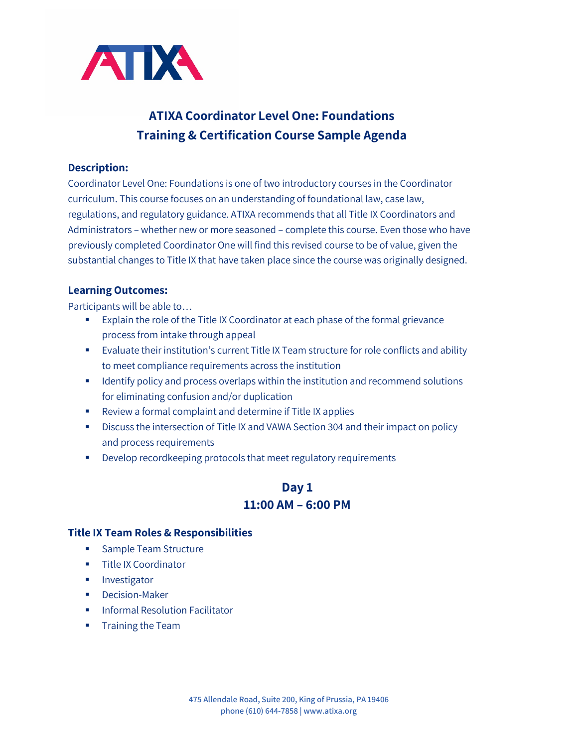

# **ATIXA Coordinator Level One: Foundations Training & Certification Course Sample Agenda**

#### **Description:**

Coordinator Level One: Foundations is one of two introductory courses in the Coordinator curriculum. This course focuses on an understanding of foundational law, case law, regulations, and regulatory guidance. ATIXA recommends that all Title IX Coordinators and Administrators – whether new or more seasoned – complete this course. Even those who have previously completed Coordinator One will find this revised course to be of value, given the substantial changes to Title IX that have taken place since the course was originally designed.

#### **Learning Outcomes:**

Participants will be able to…

- **Explain the role of the Title IX Coordinator at each phase of the formal grievance** process from intake through appeal
- Evaluate their institution's current Title IX Team structure for role conflicts and ability to meet compliance requirements across the institution
- **IDENTIFY AND IDENTIFY DEAT IS NOTE I** Identify policy and provinces of the process overlaps in the institution solutions for eliminating confusion and/or duplication
- Review a formal complaint and determine if Title IX applies
- Discuss the intersection of Title IX and VAWA Section 304 and their impact on policy and process requirements
- **Develop record keeping protocols that meet regulatory requirements**

# **Day 1 11:00 AM – 6:00 PM**

#### **Title IX Team Roles & Responsibilities**

- **Sample Team Structure**
- **Title IX Coordinator**
- **Investigator**
- **Decision-Maker**
- **Informal Resolution Facilitator**
- **Training the Team**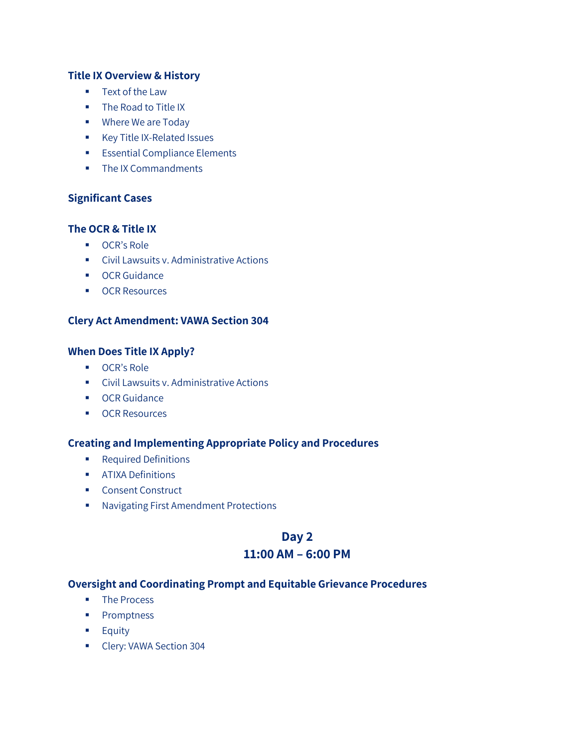#### **Title IX Overview & History**

- **Text of the Law**
- **The Road to Title IX**
- **Where We are Today**
- **Key Title IX-Related Issues**
- **Essential Compliance Elements**
- The IX Commandments

#### **Significant Cases**

#### **The OCR & Title IX**

- OCR's Role
- Civil Lawsuits v. Administrative Actions
- **•** OCR Guidance
- **OCR Resources**

#### **Clery Act Amendment: VAWA Section 304**

#### **When Does Title IX Apply?**

- OCR's Role
- **E** Civil Lawsuits v. Administrative Actions
- OCR Guidance
- **OCR Resources**

## **Creating and Implementing Appropriate Policy and Procedures**

- **Required Definitions**
- **ATIXA Definitions**
- **Consent Construct**
- **Navigating First Amendment Protections**

## **Day 2**

#### **11:00 AM – 6:00 PM**

#### **Oversight and Coordinating Prompt and Equitable Grievance Procedures**

- **The Process**
- **•** Promptness
- **Equity**
- Clery: VAWA Section 304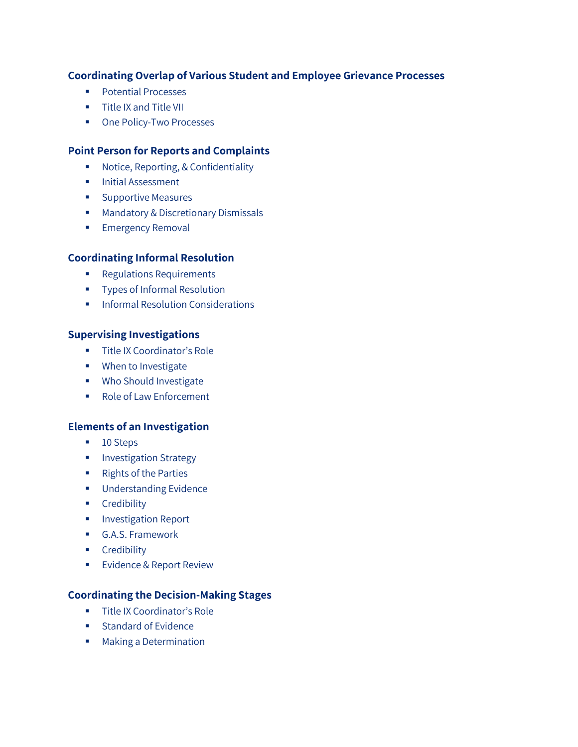#### **Coordinating Overlap of Various Student and Employee Grievance Processes**

- **Potential Processes**
- **Title IX and Title VII**
- **One Policy-Two Processes**

#### **Point Person for Reports and Complaints**

- **Notice, Reporting, & Confidentiality**
- **Initial Assessment**
- **Supportive Measures**
- **Mandatory & Discretionary Dismissals**
- **Emergency Removal**

#### **Coordinating Informal Resolution**

- **Regulations Requirements**
- **Types of Informal Resolution**
- **Informal Resolution Considerations**

#### **Supervising Investigations**

- **Title IX Coordinator's Role**
- **When to Investigate**
- **Who Should Investigate**
- Role of Law Enforcement

#### **Elements of an Investigation**

- 10 Steps
- **Investigation Strategy**
- Rights of the Parties
- **Understanding Evidence**
- **Credibility**
- **Investigation Report**
- G.A.S. Framework
- **Credibility**
- **Evidence & Report Review**

#### **Coordinating the Decision-Making Stages**

- **Title IX Coordinator's Role**
- **Standard of Evidence**
- **Making a Determination**